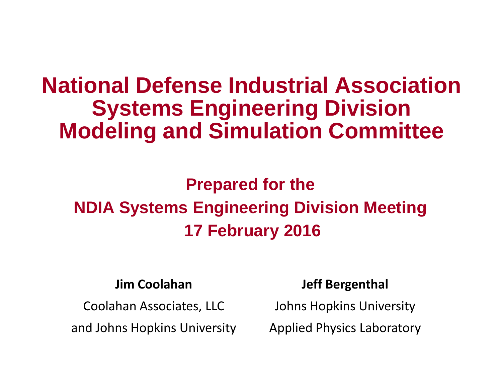# **National Defense Industrial Association Systems Engineering Division Modeling and Simulation Committee**

# **Prepared for the NDIA Systems Engineering Division Meeting 17 February 2016**

#### **Jim Coolahan**

Coolahan Associates, LLC

and Johns Hopkins University

#### **Jeff Bergenthal**

Johns Hopkins University

Applied Physics Laboratory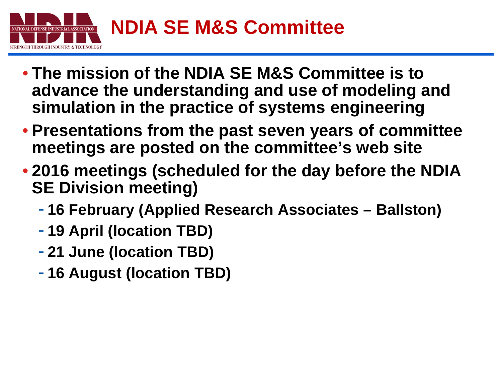

- **The mission of the NDIA SE M&S Committee is to advance the understanding and use of modeling and simulation in the practice of systems engineering**
- **Presentations from the past seven years of committee meetings are posted on the committee's web site**
- **2016 meetings (scheduled for the day before the NDIA SE Division meeting)**
	- **16 February (Applied Research Associates – Ballston)**
	- **19 April (location TBD)**
	- **21 June (location TBD)**
	- **16 August (location TBD)**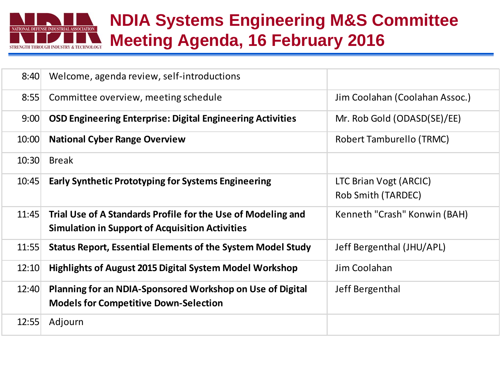

### **NDIA Systems Engineering M&S Committee Meeting Agenda, 16 February 2016**

| 8:40  | Welcome, agenda review, self-introductions                         |                                |
|-------|--------------------------------------------------------------------|--------------------------------|
| 8:55  | Committee overview, meeting schedule                               | Jim Coolahan (Coolahan Assoc.) |
| 9:00  | <b>OSD Engineering Enterprise: Digital Engineering Activities</b>  | Mr. Rob Gold (ODASD(SE)/EE)    |
| 10:00 | <b>National Cyber Range Overview</b>                               | Robert Tamburello (TRMC)       |
| 10:30 | <b>Break</b>                                                       |                                |
| 10:45 | <b>Early Synthetic Prototyping for Systems Engineering</b>         | LTC Brian Vogt (ARCIC)         |
|       |                                                                    | Rob Smith (TARDEC)             |
| 11:45 | Trial Use of A Standards Profile for the Use of Modeling and       | Kenneth "Crash" Konwin (BAH)   |
|       | <b>Simulation in Support of Acquisition Activities</b>             |                                |
| 11:55 | <b>Status Report, Essential Elements of the System Model Study</b> | Jeff Bergenthal (JHU/APL)      |
| 12:10 | <b>Highlights of August 2015 Digital System Model Workshop</b>     | Jim Coolahan                   |
| 12:40 | Planning for an NDIA-Sponsored Workshop on Use of Digital          | Jeff Bergenthal                |
|       | <b>Models for Competitive Down-Selection</b>                       |                                |
| 12:55 | Adjourn                                                            |                                |